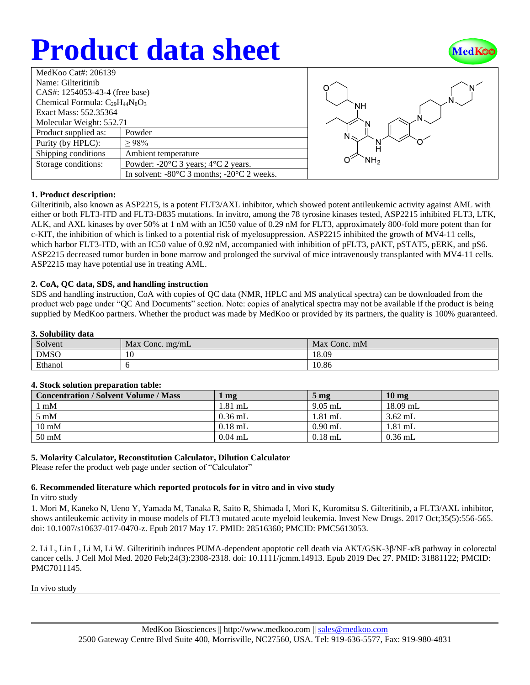# **Product data sheet**



| MedKoo Cat#: 206139                    |                                                                |  |  |  |
|----------------------------------------|----------------------------------------------------------------|--|--|--|
| Name: Gilteritinib                     |                                                                |  |  |  |
| CAS#: 1254053-43-4 (free base)         |                                                                |  |  |  |
| Chemical Formula: $C_{29}H_{44}N_8O_3$ |                                                                |  |  |  |
| Exact Mass: 552.35364                  |                                                                |  |  |  |
| Molecular Weight: 552.71               |                                                                |  |  |  |
| Product supplied as:                   | Powder                                                         |  |  |  |
| Purity (by HPLC):                      | >98%                                                           |  |  |  |
| Shipping conditions                    | Ambient temperature                                            |  |  |  |
| Storage conditions:                    | Powder: $-20^{\circ}$ C 3 years; $4^{\circ}$ C 2 years.        |  |  |  |
|                                        | In solvent: $-80^{\circ}$ C 3 months; $-20^{\circ}$ C 2 weeks. |  |  |  |



## **1. Product description:**

Gilteritinib, also known as ASP2215, is a potent FLT3/AXL inhibitor, which showed potent antileukemic activity against AML with either or both FLT3-ITD and FLT3-D835 mutations. In invitro, among the 78 tyrosine kinases tested, ASP2215 inhibited FLT3, LTK, ALK, and AXL kinases by over 50% at 1 nM with an IC50 value of 0.29 nM for FLT3, approximately 800-fold more potent than for c-KIT, the inhibition of which is linked to a potential risk of myelosuppression. ASP2215 inhibited the growth of MV4-11 cells, which harbor FLT3-ITD, with an IC50 value of 0.92 nM, accompanied with inhibition of pFLT3, pAKT, pSTAT5, pERK, and pS6. ASP2215 decreased tumor burden in bone marrow and prolonged the survival of mice intravenously transplanted with MV4-11 cells. ASP2215 may have potential use in treating AML.

## **2. CoA, QC data, SDS, and handling instruction**

SDS and handling instruction, CoA with copies of QC data (NMR, HPLC and MS analytical spectra) can be downloaded from the product web page under "QC And Documents" section. Note: copies of analytical spectra may not be available if the product is being supplied by MedKoo partners. Whether the product was made by MedKoo or provided by its partners, the quality is 100% guaranteed.

## **3. Solubility data**

| ------      |                               |              |  |  |
|-------------|-------------------------------|--------------|--|--|
| Solvent     | Max<br>$\sqrt{2}$ Conc. mg/mL | Max Conc. mM |  |  |
| <b>DMSO</b> | 10                            | 18.09        |  |  |
| Ethanol     |                               | 10.86        |  |  |

## **4. Stock solution preparation table:**

| <b>Concentration / Solvent Volume / Mass</b> | r mg      | 5 <sub>mg</sub> | 10 <sub>mg</sub> |
|----------------------------------------------|-----------|-----------------|------------------|
| $\lfloor$ mM                                 | $1.81$ mL | $9.05$ mL       | $18.09$ mL       |
| $5 \text{ mM}$                               | $0.36$ mL | $1.81$ mL       | $3.62$ mL        |
| $10 \text{ mM}$                              | $0.18$ mL | $0.90$ mL       | $1.81$ mL        |
| $50 \text{ mM}$                              | $0.04$ mL | $0.18$ mL       | $0.36$ mL        |

## **5. Molarity Calculator, Reconstitution Calculator, Dilution Calculator**

Please refer the product web page under section of "Calculator"

## **6. Recommended literature which reported protocols for in vitro and in vivo study**

In vitro study

1. Mori M, Kaneko N, Ueno Y, Yamada M, Tanaka R, Saito R, Shimada I, Mori K, Kuromitsu S. Gilteritinib, a FLT3/AXL inhibitor, shows antileukemic activity in mouse models of FLT3 mutated acute myeloid leukemia. Invest New Drugs. 2017 Oct;35(5):556-565. doi: 10.1007/s10637-017-0470-z. Epub 2017 May 17. PMID: 28516360; PMCID: PMC5613053.

2. Li L, Lin L, Li M, Li W. Gilteritinib induces PUMA-dependent apoptotic cell death via AKT/GSK-3β/NF-κB pathway in colorectal cancer cells. J Cell Mol Med. 2020 Feb;24(3):2308-2318. doi: 10.1111/jcmm.14913. Epub 2019 Dec 27. PMID: 31881122; PMCID: PMC7011145.

In vivo study